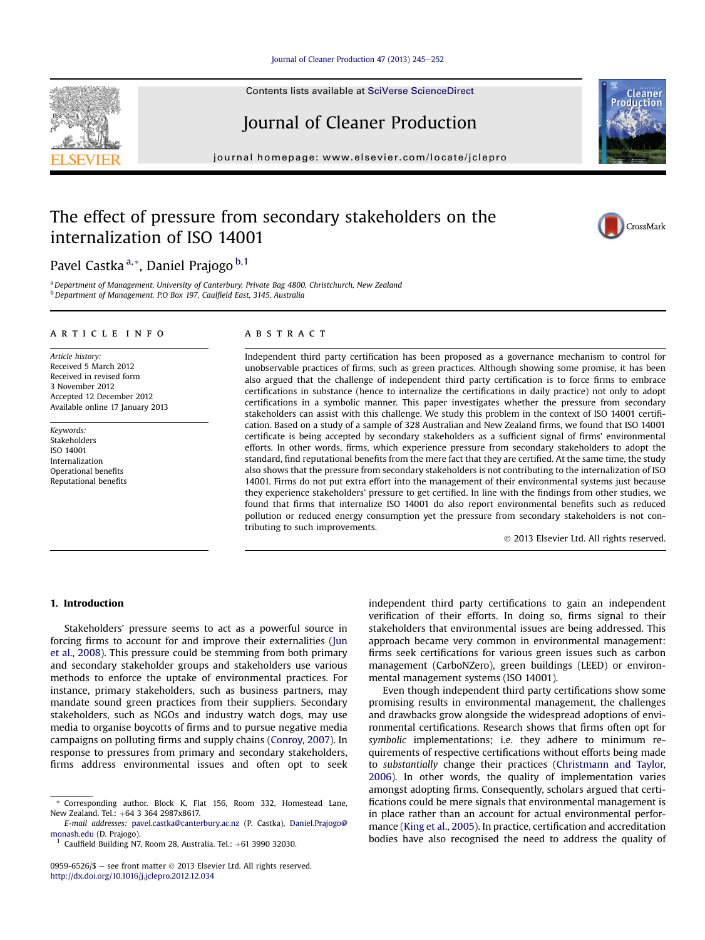## [Journal of Cleaner Production 47 \(2013\) 245](http://dx.doi.org/10.1016/j.jclepro.2012.12.034)-[252](http://dx.doi.org/10.1016/j.jclepro.2012.12.034)

Contents lists available at SciVerse ScienceDirect

# Journal of Cleaner Production

journal homepage: [www.elsevier.com/locate/jclepro](http://www.elsevier.com/locate/jclepro)

# The effect of pressure from secondary stakeholders on the internalization of ISO 14001

Pavel Castka<sup>a,\*</sup>, Daniel Prajogo<sup>b,1</sup>

a Department of Management, University of Canterbury, Private Bag 4800, Christchurch, New Zealand <sup>b</sup> Department of Management. P.O Box 197, Caulfield East, 3145, Australia

#### article info

Article history: Received 5 March 2012 Received in revised form 3 November 2012 Accepted 12 December 2012 Available online 17 January 2013

Keywords: Stakeholders ISO 14001 Internalization Operational benefits Reputational benefits

### ABSTRACT

Independent third party certification has been proposed as a governance mechanism to control for unobservable practices of firms, such as green practices. Although showing some promise, it has been also argued that the challenge of independent third party certification is to force firms to embrace certifications in substance (hence to internalize the certifications in daily practice) not only to adopt certifications in a symbolic manner. This paper investigates whether the pressure from secondary stakeholders can assist with this challenge. We study this problem in the context of ISO 14001 certification. Based on a study of a sample of 328 Australian and New Zealand firms, we found that ISO 14001 certificate is being accepted by secondary stakeholders as a sufficient signal of firms' environmental efforts. In other words, firms, which experience pressure from secondary stakeholders to adopt the standard, find reputational benefits from the mere fact that they are certified. At the same time, the study also shows that the pressure from secondary stakeholders is not contributing to the internalization of ISO 14001. Firms do not put extra effort into the management of their environmental systems just because they experience stakeholders' pressure to get certified. In line with the findings from other studies, we found that firms that internalize ISO 14001 do also report environmental benefits such as reduced pollution or reduced energy consumption yet the pressure from secondary stakeholders is not contributing to such improvements.

2013 Elsevier Ltd. All rights reserved.

#### 1. Introduction

Stakeholders' pressure seems to act as a powerful source in forcing firms to account for and improve their externalities [\(Jun](#page--1-0) [et al., 2008](#page--1-0)). This pressure could be stemming from both primary and secondary stakeholder groups and stakeholders use various methods to enforce the uptake of environmental practices. For instance, primary stakeholders, such as business partners, may mandate sound green practices from their suppliers. Secondary stakeholders, such as NGOs and industry watch dogs, may use media to organise boycotts of firms and to pursue negative media campaigns on polluting firms and supply chains ([Conroy, 2007\)](#page--1-0). In response to pressures from primary and secondary stakeholders, firms address environmental issues and often opt to seek independent third party certifications to gain an independent verification of their efforts. In doing so, firms signal to their stakeholders that environmental issues are being addressed. This approach became very common in environmental management: firms seek certifications for various green issues such as carbon management (CarboNZero), green buildings (LEED) or environmental management systems (ISO 14001).

Even though independent third party certifications show some promising results in environmental management, the challenges and drawbacks grow alongside the widespread adoptions of environmental certifications. Research shows that firms often opt for symbolic implementations; i.e. they adhere to minimum requirements of respective certifications without efforts being made to substantially change their practices [\(Christmann and Taylor,](#page--1-0) [2006\)](#page--1-0). In other words, the quality of implementation varies amongst adopting firms. Consequently, scholars argued that certifications could be mere signals that environmental management is in place rather than an account for actual environmental performance [\(King et al., 2005\)](#page--1-0). In practice, certification and accreditation bodies have also recognised the need to address the quality of







<sup>\*</sup> Corresponding author. Block K, Flat 156, Room 332, Homestead Lane, New Zealand. Tel.: +64 3 364 2987x8617.

E-mail addresses: [pavel.castka@canterbury.ac.nz](mailto:pavel.castka@canterbury.ac.nz) (P. Castka), [Daniel.Prajogo@](mailto:Daniel.Prajogo@monash.edu) [monash.edu](mailto:Daniel.Prajogo@monash.edu) (D. Prajogo).

Caulfield Building N7, Room 28, Australia. Tel.: +61 3990 32030.

<sup>0959-6526/\$ -</sup> see front matter  $\odot$  2013 Elsevier Ltd. All rights reserved. <http://dx.doi.org/10.1016/j.jclepro.2012.12.034>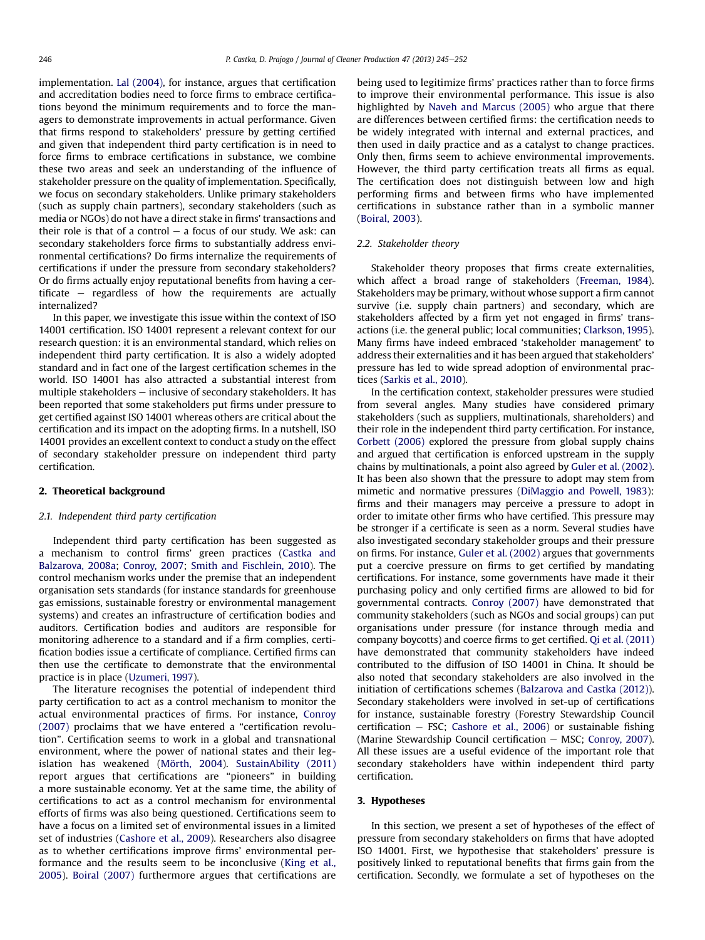implementation. [Lal \(2004\),](#page--1-0) for instance, argues that certification and accreditation bodies need to force firms to embrace certifications beyond the minimum requirements and to force the managers to demonstrate improvements in actual performance. Given that firms respond to stakeholders' pressure by getting certified and given that independent third party certification is in need to force firms to embrace certifications in substance, we combine these two areas and seek an understanding of the influence of stakeholder pressure on the quality of implementation. Specifically, we focus on secondary stakeholders. Unlike primary stakeholders (such as supply chain partners), secondary stakeholders (such as media or NGOs) do not have a direct stake in firms' transactions and their role is that of a control  $-$  a focus of our study. We ask: can secondary stakeholders force firms to substantially address environmental certifications? Do firms internalize the requirements of certifications if under the pressure from secondary stakeholders? Or do firms actually enjoy reputational benefits from having a certificate  $-$  regardless of how the requirements are actually internalized?

In this paper, we investigate this issue within the context of ISO 14001 certification. ISO 14001 represent a relevant context for our research question: it is an environmental standard, which relies on independent third party certification. It is also a widely adopted standard and in fact one of the largest certification schemes in the world. ISO 14001 has also attracted a substantial interest from multiple stakeholders  $-$  inclusive of secondary stakeholders. It has been reported that some stakeholders put firms under pressure to get certified against ISO 14001 whereas others are critical about the certification and its impact on the adopting firms. In a nutshell, ISO 14001 provides an excellent context to conduct a study on the effect of secondary stakeholder pressure on independent third party certification.

# 2. Theoretical background

#### 2.1. Independent third party certification

Independent third party certification has been suggested as a mechanism to control firms' green practices ([Castka and](#page--1-0) [Balzarova, 2008a;](#page--1-0) [Conroy, 2007](#page--1-0); [Smith and Fischlein, 2010\)](#page--1-0). The control mechanism works under the premise that an independent organisation sets standards (for instance standards for greenhouse gas emissions, sustainable forestry or environmental management systems) and creates an infrastructure of certification bodies and auditors. Certification bodies and auditors are responsible for monitoring adherence to a standard and if a firm complies, certification bodies issue a certificate of compliance. Certified firms can then use the certificate to demonstrate that the environmental practice is in place ([Uzumeri, 1997](#page--1-0)).

The literature recognises the potential of independent third party certification to act as a control mechanism to monitor the actual environmental practices of firms. For instance, [Conroy](#page--1-0) [\(2007\)](#page--1-0) proclaims that we have entered a "certification revolution". Certification seems to work in a global and transnational environment, where the power of national states and their legislation has weakened ([Mörth, 2004](#page--1-0)). [SustainAbility \(2011\)](#page--1-0) report argues that certifications are "pioneers" in building a more sustainable economy. Yet at the same time, the ability of certifications to act as a control mechanism for environmental efforts of firms was also being questioned. Certifications seem to have a focus on a limited set of environmental issues in a limited set of industries ([Cashore et al., 2009\)](#page--1-0). Researchers also disagree as to whether certifications improve firms' environmental performance and the results seem to be inconclusive ([King et al.,](#page--1-0) [2005](#page--1-0)). [Boiral \(2007\)](#page--1-0) furthermore argues that certifications are being used to legitimize firms' practices rather than to force firms to improve their environmental performance. This issue is also highlighted by [Naveh and Marcus \(2005\)](#page--1-0) who argue that there are differences between certified firms: the certification needs to be widely integrated with internal and external practices, and then used in daily practice and as a catalyst to change practices. Only then, firms seem to achieve environmental improvements. However, the third party certification treats all firms as equal. The certification does not distinguish between low and high performing firms and between firms who have implemented certifications in substance rather than in a symbolic manner ([Boiral, 2003\)](#page--1-0).

#### 2.2. Stakeholder theory

Stakeholder theory proposes that firms create externalities, which affect a broad range of stakeholders ([Freeman, 1984\)](#page--1-0). Stakeholders may be primary, without whose support a firm cannot survive (i.e. supply chain partners) and secondary, which are stakeholders affected by a firm yet not engaged in firms' transactions (i.e. the general public; local communities; [Clarkson, 1995\)](#page--1-0). Many firms have indeed embraced 'stakeholder management' to address their externalities and it has been argued that stakeholders' pressure has led to wide spread adoption of environmental practices ([Sarkis et al., 2010](#page--1-0)).

In the certification context, stakeholder pressures were studied from several angles. Many studies have considered primary stakeholders (such as suppliers, multinationals, shareholders) and their role in the independent third party certification. For instance, [Corbett \(2006\)](#page--1-0) explored the pressure from global supply chains and argued that certification is enforced upstream in the supply chains by multinationals, a point also agreed by [Guler et al. \(2002\).](#page--1-0) It has been also shown that the pressure to adopt may stem from mimetic and normative pressures [\(DiMaggio and Powell, 1983](#page--1-0)): firms and their managers may perceive a pressure to adopt in order to imitate other firms who have certified. This pressure may be stronger if a certificate is seen as a norm. Several studies have also investigated secondary stakeholder groups and their pressure on firms. For instance, [Guler et al. \(2002\)](#page--1-0) argues that governments put a coercive pressure on firms to get certified by mandating certifications. For instance, some governments have made it their purchasing policy and only certified firms are allowed to bid for governmental contracts. [Conroy \(2007\)](#page--1-0) have demonstrated that community stakeholders (such as NGOs and social groups) can put organisations under pressure (for instance through media and company boycotts) and coerce firms to get certified. [Qi et al. \(2011\)](#page--1-0) have demonstrated that community stakeholders have indeed contributed to the diffusion of ISO 14001 in China. It should be also noted that secondary stakeholders are also involved in the initiation of certifications schemes ([Balzarova and Castka \(2012\)\)](#page--1-0). Secondary stakeholders were involved in set-up of certifications for instance, sustainable forestry (Forestry Stewardship Council certification  $-$  FSC; [Cashore et al., 2006](#page--1-0)) or sustainable fishing (Marine Stewardship Council certification  $-$  MSC; [Conroy, 2007\)](#page--1-0). All these issues are a useful evidence of the important role that secondary stakeholders have within independent third party certification.

## 3. Hypotheses

In this section, we present a set of hypotheses of the effect of pressure from secondary stakeholders on firms that have adopted ISO 14001. First, we hypothesise that stakeholders' pressure is positively linked to reputational benefits that firms gain from the certification. Secondly, we formulate a set of hypotheses on the